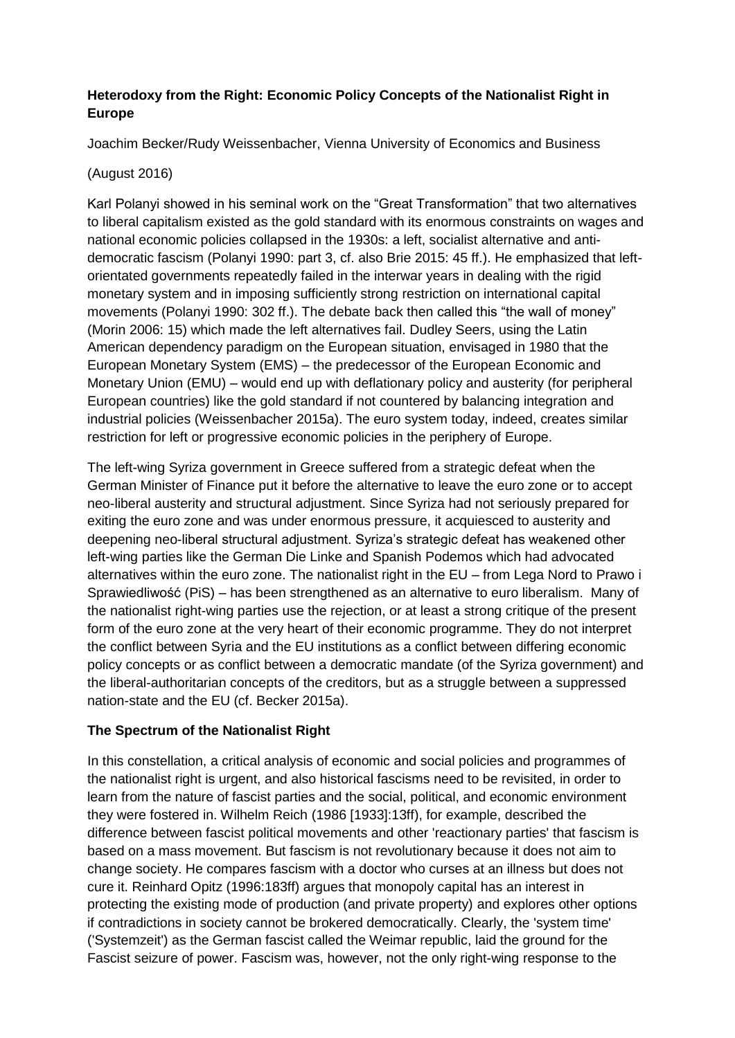# **Heterodoxy from the Right: Economic Policy Concepts of the Nationalist Right in Europe**

Joachim Becker/Rudy Weissenbacher, Vienna University of Economics and Business

#### (August 2016)

Karl Polanyi showed in his seminal work on the "Great Transformation" that two alternatives to liberal capitalism existed as the gold standard with its enormous constraints on wages and national economic policies collapsed in the 1930s: a left, socialist alternative and antidemocratic fascism (Polanyi 1990: part 3, cf. also Brie 2015: 45 ff.). He emphasized that leftorientated governments repeatedly failed in the interwar years in dealing with the rigid monetary system and in imposing sufficiently strong restriction on international capital movements (Polanyi 1990: 302 ff.). The debate back then called this "the wall of money" (Morin 2006: 15) which made the left alternatives fail. Dudley Seers, using the Latin American dependency paradigm on the European situation, envisaged in 1980 that the European Monetary System (EMS) – the predecessor of the European Economic and Monetary Union (EMU) – would end up with deflationary policy and austerity (for peripheral European countries) like the gold standard if not countered by balancing integration and industrial policies (Weissenbacher 2015a). The euro system today, indeed, creates similar restriction for left or progressive economic policies in the periphery of Europe.

The left-wing Syriza government in Greece suffered from a strategic defeat when the German Minister of Finance put it before the alternative to leave the euro zone or to accept neo-liberal austerity and structural adjustment. Since Syriza had not seriously prepared for exiting the euro zone and was under enormous pressure, it acquiesced to austerity and deepening neo-liberal structural adjustment. Syriza's strategic defeat has weakened other left-wing parties like the German Die Linke and Spanish Podemos which had advocated alternatives within the euro zone. The nationalist right in the EU – from Lega Nord to Prawo i Sprawiedliwość (PiS) – has been strengthened as an alternative to euro liberalism. Many of the nationalist right-wing parties use the rejection, or at least a strong critique of the present form of the euro zone at the very heart of their economic programme. They do not interpret the conflict between Syria and the EU institutions as a conflict between differing economic policy concepts or as conflict between a democratic mandate (of the Syriza government) and the liberal-authoritarian concepts of the creditors, but as a struggle between a suppressed nation-state and the EU (cf. Becker 2015a).

## **The Spectrum of the Nationalist Right**

In this constellation, a critical analysis of economic and social policies and programmes of the nationalist right is urgent, and also historical fascisms need to be revisited, in order to learn from the nature of fascist parties and the social, political, and economic environment they were fostered in. Wilhelm Reich (1986 [1933]:13ff), for example, described the difference between fascist political movements and other 'reactionary parties' that fascism is based on a mass movement. But fascism is not revolutionary because it does not aim to change society. He compares fascism with a doctor who curses at an illness but does not cure it. Reinhard Opitz (1996:183ff) argues that monopoly capital has an interest in protecting the existing mode of production (and private property) and explores other options if contradictions in society cannot be brokered democratically. Clearly, the 'system time' ('Systemzeit') as the German fascist called the Weimar republic, laid the ground for the Fascist seizure of power. Fascism was, however, not the only right-wing response to the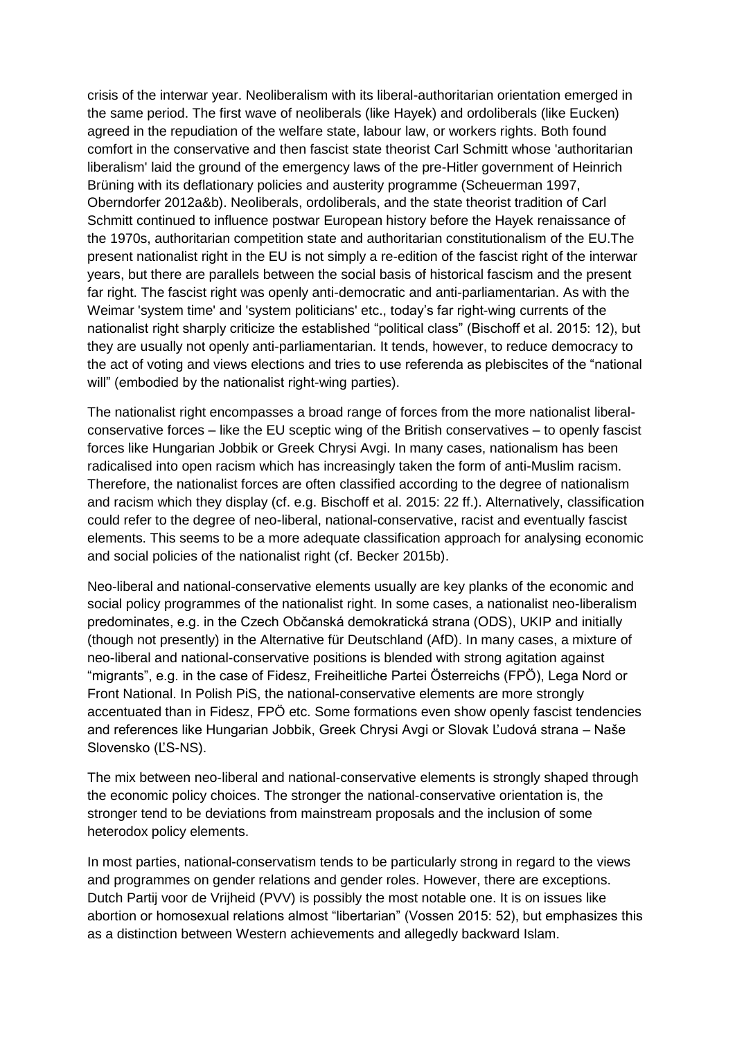crisis of the interwar year. Neoliberalism with its liberal-authoritarian orientation emerged in the same period. The first wave of neoliberals (like Hayek) and ordoliberals (like Eucken) agreed in the repudiation of the welfare state, labour law, or workers rights. Both found comfort in the conservative and then fascist state theorist Carl Schmitt whose 'authoritarian liberalism' laid the ground of the emergency laws of the pre-Hitler government of Heinrich Brüning with its deflationary policies and austerity programme (Scheuerman 1997, Oberndorfer 2012a&b). Neoliberals, ordoliberals, and the state theorist tradition of Carl Schmitt continued to influence postwar European history before the Hayek renaissance of the 1970s, authoritarian competition state and authoritarian constitutionalism of the EU.The present nationalist right in the EU is not simply a re-edition of the fascist right of the interwar years, but there are parallels between the social basis of historical fascism and the present far right. The fascist right was openly anti-democratic and anti-parliamentarian. As with the Weimar 'system time' and 'system politicians' etc., today's far right-wing currents of the nationalist right sharply criticize the established "political class" (Bischoff et al. 2015: 12), but they are usually not openly anti-parliamentarian. It tends, however, to reduce democracy to the act of voting and views elections and tries to use referenda as plebiscites of the "national will" (embodied by the nationalist right-wing parties).

The nationalist right encompasses a broad range of forces from the more nationalist liberalconservative forces – like the EU sceptic wing of the British conservatives – to openly fascist forces like Hungarian Jobbik or Greek Chrysi Avgi. In many cases, nationalism has been radicalised into open racism which has increasingly taken the form of anti-Muslim racism. Therefore, the nationalist forces are often classified according to the degree of nationalism and racism which they display (cf. e.g. Bischoff et al. 2015: 22 ff.). Alternatively, classification could refer to the degree of neo-liberal, national-conservative, racist and eventually fascist elements. This seems to be a more adequate classification approach for analysing economic and social policies of the nationalist right (cf. Becker 2015b).

Neo-liberal and national-conservative elements usually are key planks of the economic and social policy programmes of the nationalist right. In some cases, a nationalist neo-liberalism predominates, e.g. in the Czech Občanská demokratická strana (ODS), UKIP and initially (though not presently) in the Alternative für Deutschland (AfD). In many cases, a mixture of neo-liberal and national-conservative positions is blended with strong agitation against "migrants", e.g. in the case of Fidesz, Freiheitliche Partei Österreichs (FPÖ), Lega Nord or Front National. In Polish PiS, the national-conservative elements are more strongly accentuated than in Fidesz, FPÖ etc. Some formations even show openly fascist tendencies and references like Hungarian Jobbik, Greek Chrysi Avgi or Slovak Ľudová strana – Naše Slovensko (ĽS-NS).

The mix between neo-liberal and national-conservative elements is strongly shaped through the economic policy choices. The stronger the national-conservative orientation is, the stronger tend to be deviations from mainstream proposals and the inclusion of some heterodox policy elements.

In most parties, national-conservatism tends to be particularly strong in regard to the views and programmes on gender relations and gender roles. However, there are exceptions. Dutch Partij voor de Vrijheid (PVV) is possibly the most notable one. It is on issues like abortion or homosexual relations almost "libertarian" (Vossen 2015: 52), but emphasizes this as a distinction between Western achievements and allegedly backward Islam.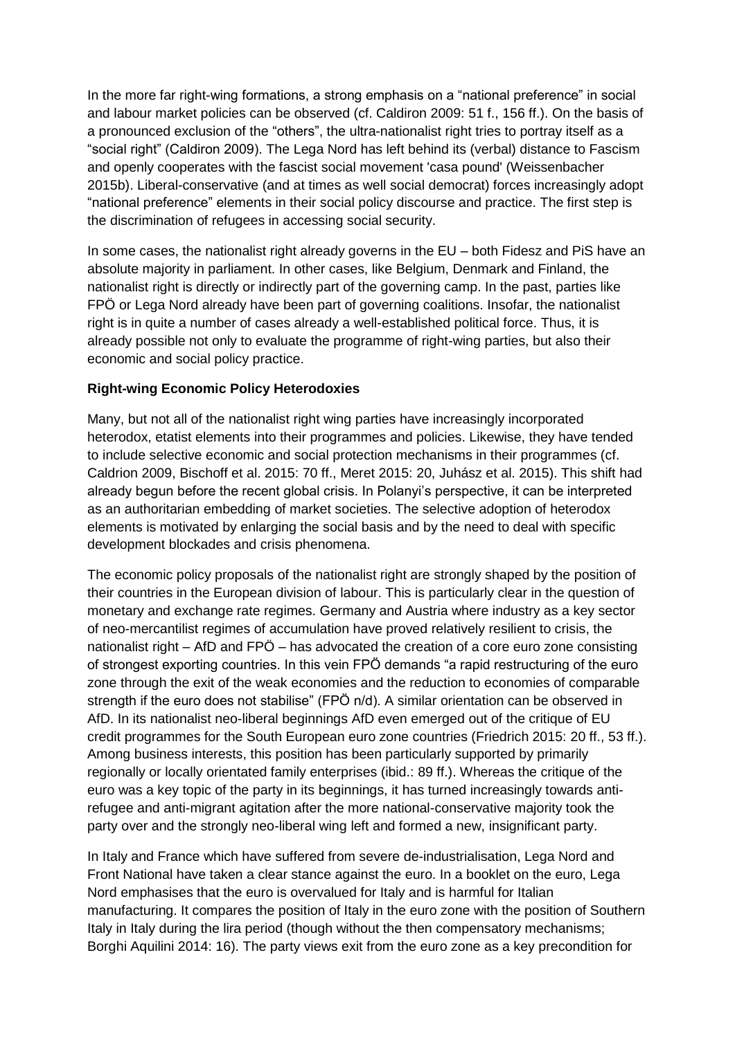In the more far right-wing formations, a strong emphasis on a "national preference" in social and labour market policies can be observed (cf. Caldiron 2009: 51 f., 156 ff.). On the basis of a pronounced exclusion of the "others", the ultra-nationalist right tries to portray itself as a "social right" (Caldiron 2009). The Lega Nord has left behind its (verbal) distance to Fascism and openly cooperates with the fascist social movement 'casa pound' (Weissenbacher 2015b). Liberal-conservative (and at times as well social democrat) forces increasingly adopt "national preference" elements in their social policy discourse and practice. The first step is the discrimination of refugees in accessing social security.

In some cases, the nationalist right already governs in the EU – both Fidesz and PiS have an absolute majority in parliament. In other cases, like Belgium, Denmark and Finland, the nationalist right is directly or indirectly part of the governing camp. In the past, parties like FPÖ or Lega Nord already have been part of governing coalitions. Insofar, the nationalist right is in quite a number of cases already a well-established political force. Thus, it is already possible not only to evaluate the programme of right-wing parties, but also their economic and social policy practice.

#### **Right-wing Economic Policy Heterodoxies**

Many, but not all of the nationalist right wing parties have increasingly incorporated heterodox, etatist elements into their programmes and policies. Likewise, they have tended to include selective economic and social protection mechanisms in their programmes (cf. Caldrion 2009, Bischoff et al. 2015: 70 ff., Meret 2015: 20, Juhász et al. 2015). This shift had already begun before the recent global crisis. In Polanyi's perspective, it can be interpreted as an authoritarian embedding of market societies. The selective adoption of heterodox elements is motivated by enlarging the social basis and by the need to deal with specific development blockades and crisis phenomena.

The economic policy proposals of the nationalist right are strongly shaped by the position of their countries in the European division of labour. This is particularly clear in the question of monetary and exchange rate regimes. Germany and Austria where industry as a key sector of neo-mercantilist regimes of accumulation have proved relatively resilient to crisis, the nationalist right – AfD and FPÖ – has advocated the creation of a core euro zone consisting of strongest exporting countries. In this vein FPÖ demands "a rapid restructuring of the euro zone through the exit of the weak economies and the reduction to economies of comparable strength if the euro does not stabilise" (FPÖ n/d). A similar orientation can be observed in AfD. In its nationalist neo-liberal beginnings AfD even emerged out of the critique of EU credit programmes for the South European euro zone countries (Friedrich 2015: 20 ff., 53 ff.). Among business interests, this position has been particularly supported by primarily regionally or locally orientated family enterprises (ibid.: 89 ff.). Whereas the critique of the euro was a key topic of the party in its beginnings, it has turned increasingly towards antirefugee and anti-migrant agitation after the more national-conservative majority took the party over and the strongly neo-liberal wing left and formed a new, insignificant party.

In Italy and France which have suffered from severe de-industrialisation, Lega Nord and Front National have taken a clear stance against the euro. In a booklet on the euro, Lega Nord emphasises that the euro is overvalued for Italy and is harmful for Italian manufacturing. It compares the position of Italy in the euro zone with the position of Southern Italy in Italy during the lira period (though without the then compensatory mechanisms; Borghi Aquilini 2014: 16). The party views exit from the euro zone as a key precondition for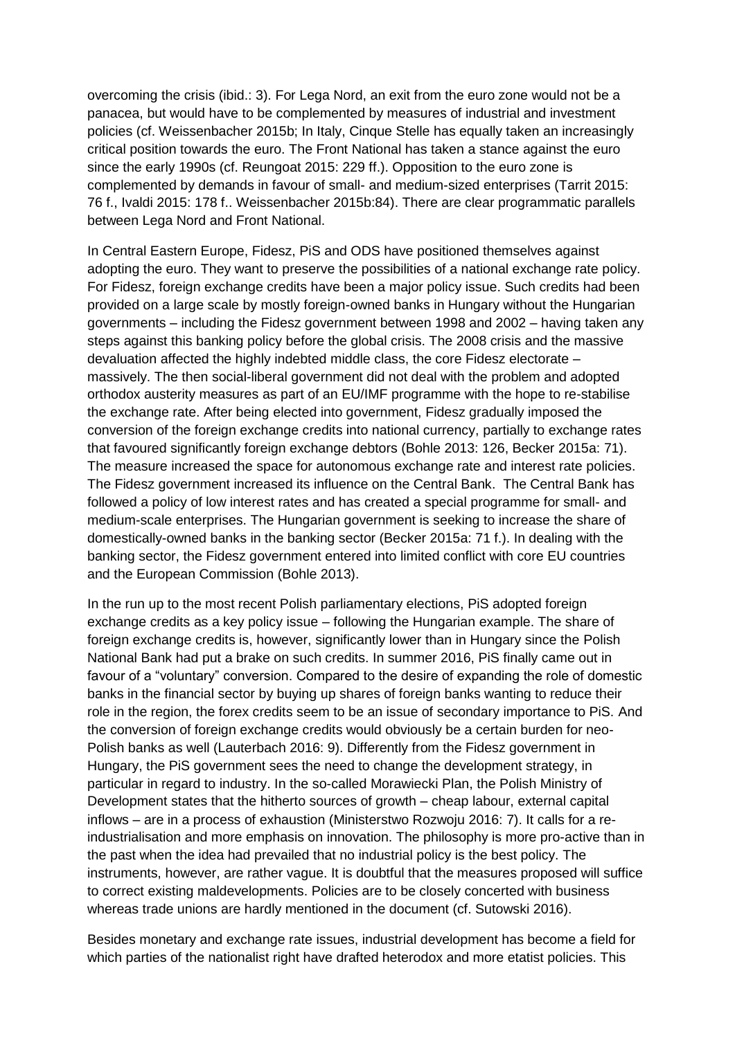overcoming the crisis (ibid.: 3). For Lega Nord, an exit from the euro zone would not be a panacea, but would have to be complemented by measures of industrial and investment policies (cf. Weissenbacher 2015b; In Italy, Cinque Stelle has equally taken an increasingly critical position towards the euro. The Front National has taken a stance against the euro since the early 1990s (cf. Reungoat 2015: 229 ff.). Opposition to the euro zone is complemented by demands in favour of small- and medium-sized enterprises (Tarrit 2015: 76 f., Ivaldi 2015: 178 f.. Weissenbacher 2015b:84). There are clear programmatic parallels between Lega Nord and Front National.

In Central Eastern Europe, Fidesz, PiS and ODS have positioned themselves against adopting the euro. They want to preserve the possibilities of a national exchange rate policy. For Fidesz, foreign exchange credits have been a major policy issue. Such credits had been provided on a large scale by mostly foreign-owned banks in Hungary without the Hungarian governments – including the Fidesz government between 1998 and 2002 – having taken any steps against this banking policy before the global crisis. The 2008 crisis and the massive devaluation affected the highly indebted middle class, the core Fidesz electorate – massively. The then social-liberal government did not deal with the problem and adopted orthodox austerity measures as part of an EU/IMF programme with the hope to re-stabilise the exchange rate. After being elected into government, Fidesz gradually imposed the conversion of the foreign exchange credits into national currency, partially to exchange rates that favoured significantly foreign exchange debtors (Bohle 2013: 126, Becker 2015a: 71). The measure increased the space for autonomous exchange rate and interest rate policies. The Fidesz government increased its influence on the Central Bank. The Central Bank has followed a policy of low interest rates and has created a special programme for small- and medium-scale enterprises. The Hungarian government is seeking to increase the share of domestically-owned banks in the banking sector (Becker 2015a: 71 f.). In dealing with the banking sector, the Fidesz government entered into limited conflict with core EU countries and the European Commission (Bohle 2013).

In the run up to the most recent Polish parliamentary elections, PiS adopted foreign exchange credits as a key policy issue – following the Hungarian example. The share of foreign exchange credits is, however, significantly lower than in Hungary since the Polish National Bank had put a brake on such credits. In summer 2016, PiS finally came out in favour of a "voluntary" conversion. Compared to the desire of expanding the role of domestic banks in the financial sector by buying up shares of foreign banks wanting to reduce their role in the region, the forex credits seem to be an issue of secondary importance to PiS. And the conversion of foreign exchange credits would obviously be a certain burden for neo-Polish banks as well (Lauterbach 2016: 9). Differently from the Fidesz government in Hungary, the PiS government sees the need to change the development strategy, in particular in regard to industry. In the so-called Morawiecki Plan, the Polish Ministry of Development states that the hitherto sources of growth – cheap labour, external capital inflows – are in a process of exhaustion (Ministerstwo Rozwoju 2016: 7). It calls for a reindustrialisation and more emphasis on innovation. The philosophy is more pro-active than in the past when the idea had prevailed that no industrial policy is the best policy. The instruments, however, are rather vague. It is doubtful that the measures proposed will suffice to correct existing maldevelopments. Policies are to be closely concerted with business whereas trade unions are hardly mentioned in the document (cf. Sutowski 2016).

Besides monetary and exchange rate issues, industrial development has become a field for which parties of the nationalist right have drafted heterodox and more etatist policies. This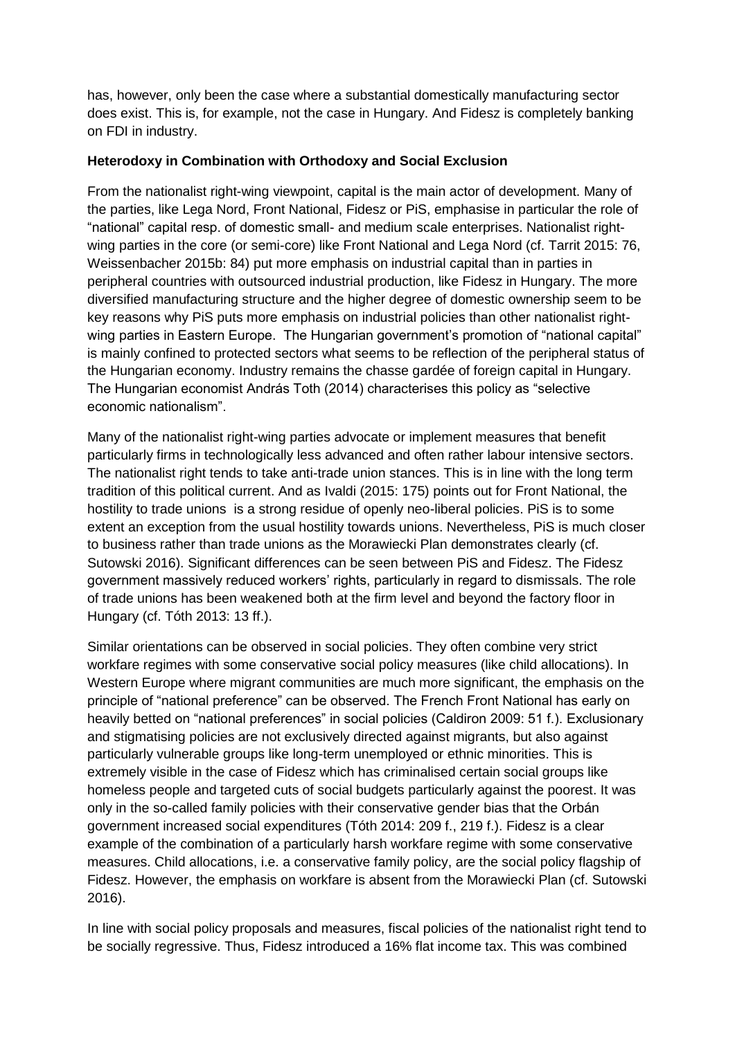has, however, only been the case where a substantial domestically manufacturing sector does exist. This is, for example, not the case in Hungary. And Fidesz is completely banking on FDI in industry.

#### **Heterodoxy in Combination with Orthodoxy and Social Exclusion**

From the nationalist right-wing viewpoint, capital is the main actor of development. Many of the parties, like Lega Nord, Front National, Fidesz or PiS, emphasise in particular the role of "national" capital resp. of domestic small- and medium scale enterprises. Nationalist rightwing parties in the core (or semi-core) like Front National and Lega Nord (cf. Tarrit 2015: 76, Weissenbacher 2015b: 84) put more emphasis on industrial capital than in parties in peripheral countries with outsourced industrial production, like Fidesz in Hungary. The more diversified manufacturing structure and the higher degree of domestic ownership seem to be key reasons why PiS puts more emphasis on industrial policies than other nationalist rightwing parties in Eastern Europe. The Hungarian government's promotion of "national capital" is mainly confined to protected sectors what seems to be reflection of the peripheral status of the Hungarian economy. Industry remains the chasse gardée of foreign capital in Hungary. The Hungarian economist András Toth (2014) characterises this policy as "selective economic nationalism".

Many of the nationalist right-wing parties advocate or implement measures that benefit particularly firms in technologically less advanced and often rather labour intensive sectors. The nationalist right tends to take anti-trade union stances. This is in line with the long term tradition of this political current. And as Ivaldi (2015: 175) points out for Front National, the hostility to trade unions is a strong residue of openly neo-liberal policies. PiS is to some extent an exception from the usual hostility towards unions. Nevertheless, PiS is much closer to business rather than trade unions as the Morawiecki Plan demonstrates clearly (cf. Sutowski 2016). Significant differences can be seen between PiS and Fidesz. The Fidesz government massively reduced workers' rights, particularly in regard to dismissals. The role of trade unions has been weakened both at the firm level and beyond the factory floor in Hungary (cf. Tóth 2013: 13 ff.).

Similar orientations can be observed in social policies. They often combine very strict workfare regimes with some conservative social policy measures (like child allocations). In Western Europe where migrant communities are much more significant, the emphasis on the principle of "national preference" can be observed. The French Front National has early on heavily betted on "national preferences" in social policies (Caldiron 2009: 51 f.). Exclusionary and stigmatising policies are not exclusively directed against migrants, but also against particularly vulnerable groups like long-term unemployed or ethnic minorities. This is extremely visible in the case of Fidesz which has criminalised certain social groups like homeless people and targeted cuts of social budgets particularly against the poorest. It was only in the so-called family policies with their conservative gender bias that the Orbán government increased social expenditures (Tóth 2014: 209 f., 219 f.). Fidesz is a clear example of the combination of a particularly harsh workfare regime with some conservative measures. Child allocations, i.e. a conservative family policy, are the social policy flagship of Fidesz. However, the emphasis on workfare is absent from the Morawiecki Plan (cf. Sutowski 2016).

In line with social policy proposals and measures, fiscal policies of the nationalist right tend to be socially regressive. Thus, Fidesz introduced a 16% flat income tax. This was combined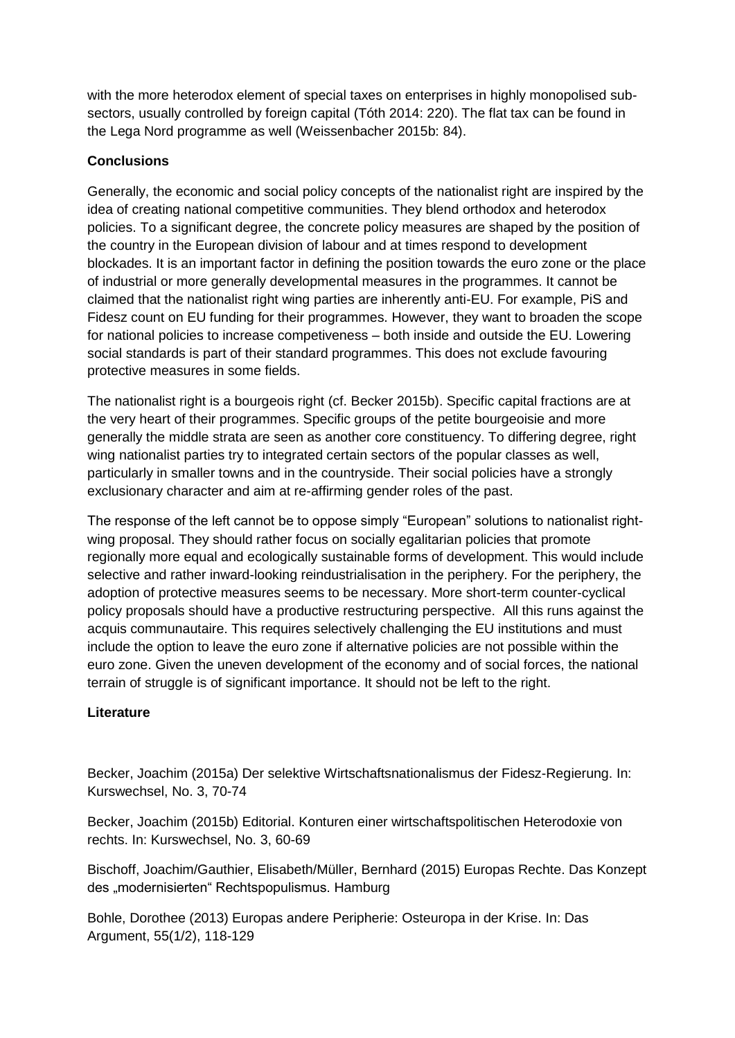with the more heterodox element of special taxes on enterprises in highly monopolised subsectors, usually controlled by foreign capital (Tóth 2014: 220). The flat tax can be found in the Lega Nord programme as well (Weissenbacher 2015b: 84).

# **Conclusions**

Generally, the economic and social policy concepts of the nationalist right are inspired by the idea of creating national competitive communities. They blend orthodox and heterodox policies. To a significant degree, the concrete policy measures are shaped by the position of the country in the European division of labour and at times respond to development blockades. It is an important factor in defining the position towards the euro zone or the place of industrial or more generally developmental measures in the programmes. It cannot be claimed that the nationalist right wing parties are inherently anti-EU. For example, PiS and Fidesz count on EU funding for their programmes. However, they want to broaden the scope for national policies to increase competiveness – both inside and outside the EU. Lowering social standards is part of their standard programmes. This does not exclude favouring protective measures in some fields.

The nationalist right is a bourgeois right (cf. Becker 2015b). Specific capital fractions are at the very heart of their programmes. Specific groups of the petite bourgeoisie and more generally the middle strata are seen as another core constituency. To differing degree, right wing nationalist parties try to integrated certain sectors of the popular classes as well, particularly in smaller towns and in the countryside. Their social policies have a strongly exclusionary character and aim at re-affirming gender roles of the past.

The response of the left cannot be to oppose simply "European" solutions to nationalist rightwing proposal. They should rather focus on socially egalitarian policies that promote regionally more equal and ecologically sustainable forms of development. This would include selective and rather inward-looking reindustrialisation in the periphery. For the periphery, the adoption of protective measures seems to be necessary. More short-term counter-cyclical policy proposals should have a productive restructuring perspective. All this runs against the acquis communautaire. This requires selectively challenging the EU institutions and must include the option to leave the euro zone if alternative policies are not possible within the euro zone. Given the uneven development of the economy and of social forces, the national terrain of struggle is of significant importance. It should not be left to the right.

## **Literature**

Becker, Joachim (2015a) Der selektive Wirtschaftsnationalismus der Fidesz-Regierung. In: Kurswechsel, No. 3, 70-74

Becker, Joachim (2015b) Editorial. Konturen einer wirtschaftspolitischen Heterodoxie von rechts. In: Kurswechsel, No. 3, 60-69

Bischoff, Joachim/Gauthier, Elisabeth/Müller, Bernhard (2015) Europas Rechte. Das Konzept des "modernisierten" Rechtspopulismus. Hamburg

Bohle, Dorothee (2013) Europas andere Peripherie: Osteuropa in der Krise. In: Das Argument, 55(1/2), 118-129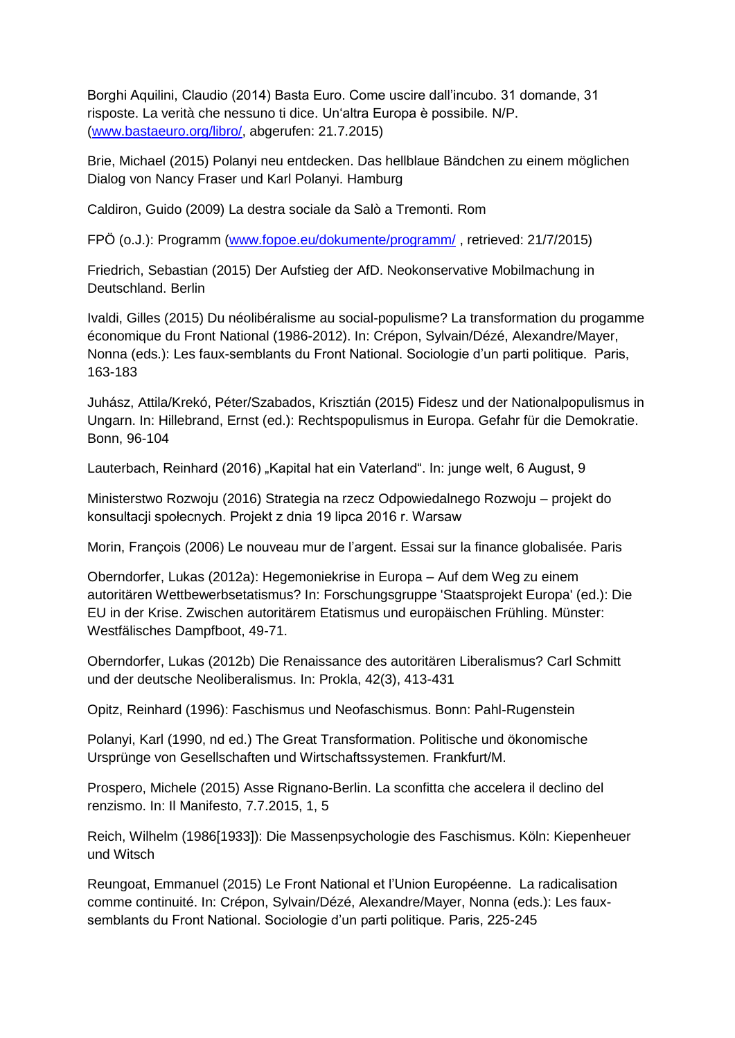Borghi Aquilini, Claudio (2014) Basta Euro. Come uscire dall'incubo. 31 domande, 31 risposte. La verità che nessuno ti dice. Un'altra Europa è possibile. N/P. [\(www.bastaeuro.org/libro/,](http://www.bastaeuro.org/libro/) abgerufen: 21.7.2015)

Brie, Michael (2015) Polanyi neu entdecken. Das hellblaue Bändchen zu einem möglichen Dialog von Nancy Fraser und Karl Polanyi. Hamburg

Caldiron, Guido (2009) La destra sociale da Salò a Tremonti. Rom

FPÖ (o.J.): Programm [\(www.fopoe.eu/dokumente/programm/](http://www.fopoe.eu/dokumente/programm/) , retrieved: 21/7/2015)

Friedrich, Sebastian (2015) Der Aufstieg der AfD. Neokonservative Mobilmachung in Deutschland. Berlin

Ivaldi, Gilles (2015) Du néolibéralisme au social-populisme? La transformation du progamme économique du Front National (1986-2012). In: Crépon, Sylvain/Dézé, Alexandre/Mayer, Nonna (eds.): Les faux-semblants du Front National. Sociologie d'un parti politique. Paris, 163-183

Juhász, Attila/Krekó, Péter/Szabados, Krisztián (2015) Fidesz und der Nationalpopulismus in Ungarn. In: Hillebrand, Ernst (ed.): Rechtspopulismus in Europa. Gefahr für die Demokratie. Bonn, 96-104

Lauterbach, Reinhard (2016) "Kapital hat ein Vaterland". In: junge welt, 6 August, 9

Ministerstwo Rozwoju (2016) Strategia na rzecz Odpowiedalnego Rozwoju – projekt do konsultacji społecnych. Projekt z dnia 19 lipca 2016 r. Warsaw

Morin, François (2006) Le nouveau mur de l'argent. Essai sur la finance globalisée. Paris

Oberndorfer, Lukas (2012a): Hegemoniekrise in Europa – Auf dem Weg zu einem autoritären Wettbewerbsetatismus? In: Forschungsgruppe 'Staatsprojekt Europa' (ed.): Die EU in der Krise. Zwischen autoritärem Etatismus und europäischen Frühling. Münster: Westfälisches Dampfboot, 49-71.

Oberndorfer, Lukas (2012b) Die Renaissance des autoritären Liberalismus? Carl Schmitt und der deutsche Neoliberalismus. In: Prokla, 42(3), 413-431

Opitz, Reinhard (1996): Faschismus und Neofaschismus. Bonn: Pahl-Rugenstein

Polanyi, Karl (1990, nd ed.) The Great Transformation. Politische und ökonomische Ursprünge von Gesellschaften und Wirtschaftssystemen. Frankfurt/M.

Prospero, Michele (2015) Asse Rignano-Berlin. La sconfitta che accelera il declino del renzismo. In: Il Manifesto, 7.7.2015, 1, 5

Reich, Wilhelm (1986[1933]): Die Massenpsychologie des Faschismus. Köln: Kiepenheuer und Witsch

Reungoat, Emmanuel (2015) Le Front National et l'Union Européenne. La radicalisation comme continuité. In: Crépon, Sylvain/Dézé, Alexandre/Mayer, Nonna (eds.): Les fauxsemblants du Front National. Sociologie d'un parti politique. Paris, 225-245